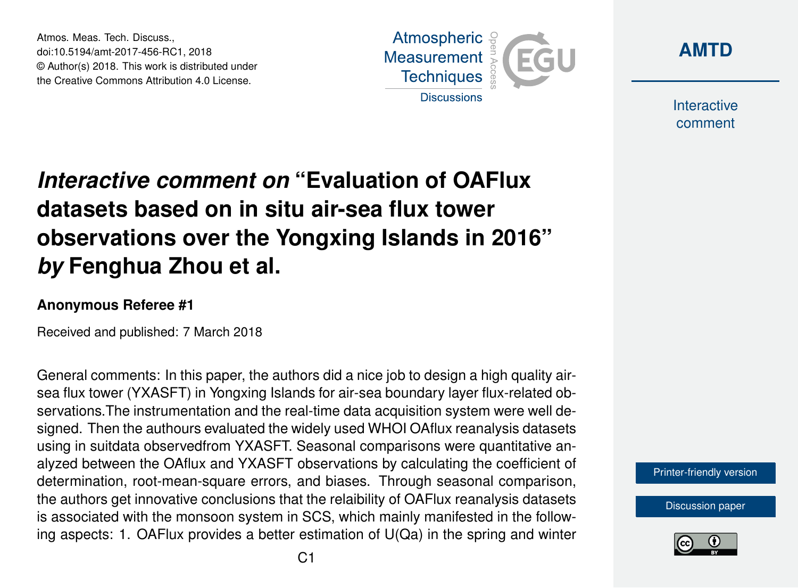Atmos. Meas. Tech. Discuss., doi:10.5194/amt-2017-456-RC1, 2018 © Author(s) 2018. This work is distributed under the Creative Commons Attribution 4.0 License.





Interactive comment

# *Interactive comment on* **"Evaluation of OAFlux datasets based on in situ air-sea flux tower observations over the Yongxing Islands in 2016"** *by* **Fenghua Zhou et al.**

#### **Anonymous Referee #1**

Received and published: 7 March 2018

General comments: In this paper, the authors did a nice job to design a high quality airsea flux tower (YXASFT) in Yongxing Islands for air-sea boundary layer flux-related observations.The instrumentation and the real-time data acquisition system were well designed. Then the authours evaluated the widely used WHOI OAflux reanalysis datasets using in suitdata observedfrom YXASFT. Seasonal comparisons were quantitative analyzed between the OAflux and YXASFT observations by calculating the coefficient of determination, root-mean-square errors, and biases. Through seasonal comparison, the authors get innovative conclusions that the relaibility of OAFlux reanalysis datasets is associated with the monsoon system in SCS, which mainly manifested in the following aspects: 1. OAFlux provides a better estimation of U(Qa) in the spring and winter

[Printer-friendly version](https://www.atmos-meas-tech-discuss.net/amt-2017-456/amt-2017-456-RC1-print.pdf)

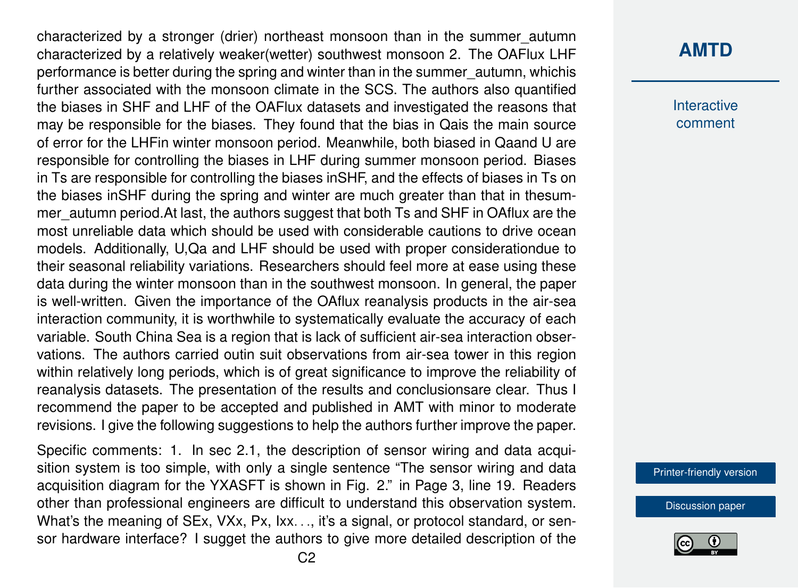characterized by a stronger (drier) northeast monsoon than in the summer\_autumn characterized by a relatively weaker(wetter) southwest monsoon 2. The OAFlux LHF performance is better during the spring and winter than in the summer\_autumn, whichis further associated with the monsoon climate in the SCS. The authors also quantified the biases in SHF and LHF of the OAFlux datasets and investigated the reasons that may be responsible for the biases. They found that the bias in Qais the main source of error for the LHFin winter monsoon period. Meanwhile, both biased in Qaand U are responsible for controlling the biases in LHF during summer monsoon period. Biases in Ts are responsible for controlling the biases inSHF, and the effects of biases in Ts on the biases inSHF during the spring and winter are much greater than that in thesummer autumn period. At last, the authors suggest that both Ts and SHF in OAflux are the most unreliable data which should be used with considerable cautions to drive ocean models. Additionally, U,Qa and LHF should be used with proper considerationdue to their seasonal reliability variations. Researchers should feel more at ease using these data during the winter monsoon than in the southwest monsoon. In general, the paper is well-written. Given the importance of the OAflux reanalysis products in the air-sea interaction community, it is worthwhile to systematically evaluate the accuracy of each variable. South China Sea is a region that is lack of sufficient air-sea interaction observations. The authors carried outin suit observations from air-sea tower in this region within relatively long periods, which is of great significance to improve the reliability of reanalysis datasets. The presentation of the results and conclusionsare clear. Thus I recommend the paper to be accepted and published in AMT with minor to moderate revisions. I give the following suggestions to help the authors further improve the paper.

Specific comments: 1. In sec 2.1, the description of sensor wiring and data acquisition system is too simple, with only a single sentence "The sensor wiring and data acquisition diagram for the YXASFT is shown in Fig. 2." in Page 3, line 19. Readers other than professional engineers are difficult to understand this observation system. What's the meaning of SEx, VXx, Px, Ixx. . ., it's a signal, or protocol standard, or sensor hardware interface? I sugget the authors to give more detailed description of the

## **[AMTD](https://www.atmos-meas-tech-discuss.net/)**

Interactive comment

[Printer-friendly version](https://www.atmos-meas-tech-discuss.net/amt-2017-456/amt-2017-456-RC1-print.pdf)

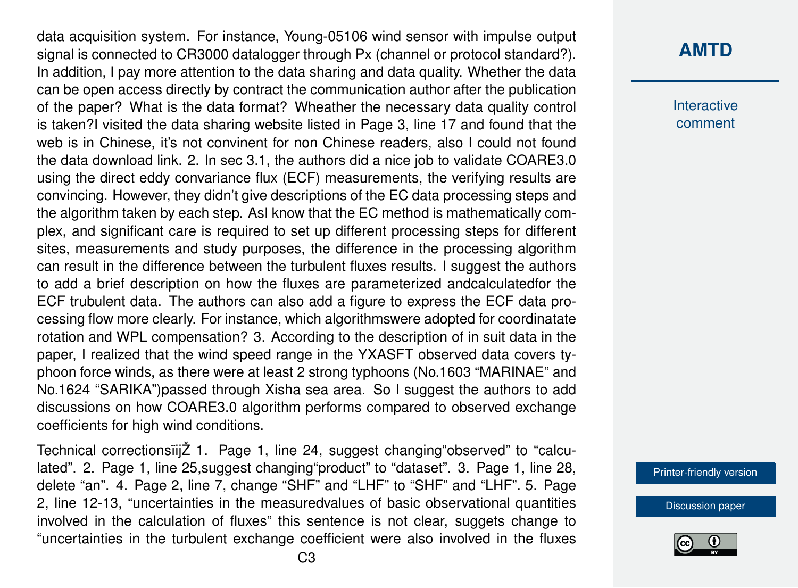data acquisition system. For instance, Young-05106 wind sensor with impulse output signal is connected to CR3000 datalogger through Px (channel or protocol standard?). In addition, I pay more attention to the data sharing and data quality. Whether the data can be open access directly by contract the communication author after the publication of the paper? What is the data format? Wheather the necessary data quality control is taken?I visited the data sharing website listed in Page 3, line 17 and found that the web is in Chinese, it's not convinent for non Chinese readers, also I could not found the data download link. 2. In sec 3.1, the authors did a nice job to validate COARE3.0 using the direct eddy convariance flux (ECF) measurements, the verifying results are convincing. However, they didn't give descriptions of the EC data processing steps and the algorithm taken by each step. AsI know that the EC method is mathematically complex, and significant care is required to set up different processing steps for different sites, measurements and study purposes, the difference in the processing algorithm can result in the difference between the turbulent fluxes results. I suggest the authors to add a brief description on how the fluxes are parameterized andcalculatedfor the ECF trubulent data. The authors can also add a figure to express the ECF data processing flow more clearly. For instance, which algorithmswere adopted for coordinatate rotation and WPL compensation? 3. According to the description of in suit data in the paper, I realized that the wind speed range in the YXASFT observed data covers typhoon force winds, as there were at least 2 strong typhoons (No.1603 "MARINAE" and No.1624 "SARIKA")passed through Xisha sea area. So I suggest the authors to add discussions on how COARE3.0 algorithm performs compared to observed exchange coefficients for high wind conditions.

Technical correctionsïijŽ 1. Page 1, line 24, suggest changing"observed" to "calculated". 2. Page 1, line 25,suggest changing"product" to "dataset". 3. Page 1, line 28, delete "an". 4. Page 2, line 7, change "SHF" and "LHF" to "SHF" and "LHF". 5. Page 2, line 12-13, "uncertainties in the measuredvalues of basic observational quantities involved in the calculation of fluxes" this sentence is not clear, suggets change to "uncertainties in the turbulent exchange coefficient were also involved in the fluxes

## **[AMTD](https://www.atmos-meas-tech-discuss.net/)**

**Interactive** comment

[Printer-friendly version](https://www.atmos-meas-tech-discuss.net/amt-2017-456/amt-2017-456-RC1-print.pdf)